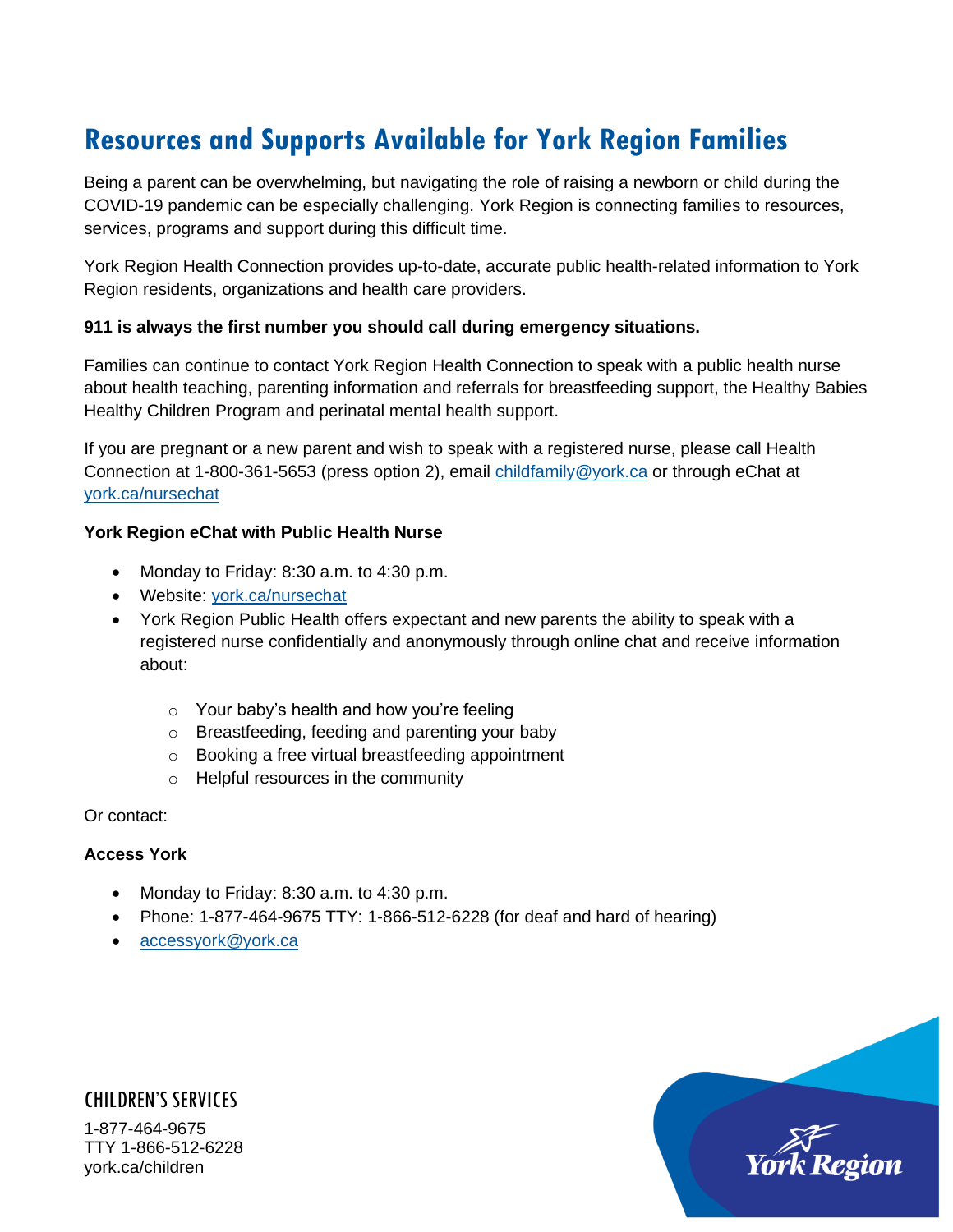# **Resources and Supports Available for York Region Families**

Being a parent can be overwhelming, but navigating the role of raising a newborn or child during the COVID-19 pandemic can be especially challenging. York Region is connecting families to resources, services, programs and support during this difficult time.

York Region Health Connection provides up-to-date, accurate public health-related information to York Region residents, organizations and health care providers.

#### **911 is always the first number you should call during emergency situations.**

Families can continue to contact York Region Health Connection to speak with a public health nurse about health teaching, parenting information and referrals for breastfeeding support, the Healthy Babies Healthy Children Program and perinatal mental health support.

If you are pregnant or a new parent and wish to speak with a registered nurse, please call Health Connection at 1-800-361-5653 (press option 2), email [childfamily@york.ca](mailto:childfamily@york.ca) or through eChat at [york.ca/nursechat](https://www.york.ca/wps/portal/yorkhome/health/yr/parenting/ChatLiveWithAPublicHealthNurse/)

#### **York Region eChat with Public Health Nurse**

- Monday to Friday: 8:30 a.m. to 4:30 p.m.
- Website: [york.ca/nursechat](https://www.york.ca/wps/portal/yorkhome/health/yr/parenting/ChatLiveWithAPublicHealthNurse/)
- York Region Public Health offers expectant and new parents the ability to speak with a registered nurse confidentially and anonymously through online chat and receive information about:
	- o Your baby's health and how you're feeling
	- o Breastfeeding, feeding and parenting your baby
	- o Booking a free virtual breastfeeding appointment
	- o Helpful resources in the community

Or contact:

#### **Access York**

- Monday to Friday: 8:30 a.m. to 4:30 p.m.
- Phone: 1-877-464-9675 TTY: 1-866-512-6228 (for deaf and hard of hearing)
- [accessyork@york.ca](mailto:accessyork@york.ca)

CHILDREN'S SERVICES 1-877-464-9675 TTY 1-866-512-6228 york.ca/children

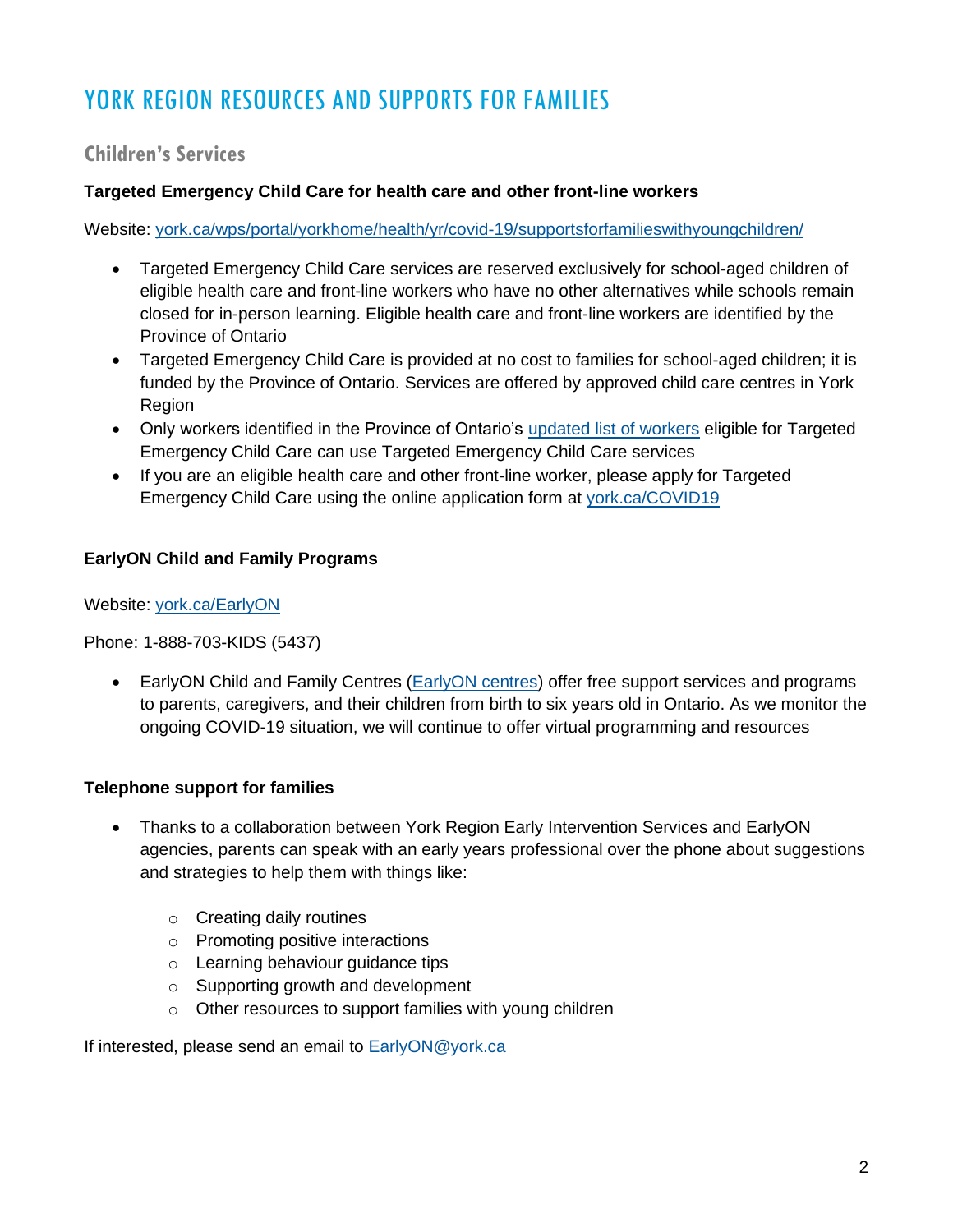# YORK REGION RESOURCES AND SUPPORTS FOR FAMILIES

## **Children's Services**

## **Targeted Emergency Child Care for health care and other front-line workers**

Website: [york.ca/wps/portal/yorkhome/health/yr/covid-19/supportsforfamilieswithyoungchildren/](https://www.york.ca/wps/portal/yorkhome/health/yr/covid-19/supportsforfamilieswithyoungchildren/)

- Targeted Emergency Child Care services are reserved exclusively for school-aged children of eligible health care and front-line workers who have no other alternatives while schools remain closed for in-person learning. Eligible health care and front-line workers are identified by the Province of Ontario
- Targeted Emergency Child Care is provided at no cost to families for school-aged children; it is funded by the Province of Ontario. Services are offered by approved child care centres in York Region
- Only workers identified in the Province of Ontario's [updated list of workers](https://news.ontario.ca/en/backgrounder/61162/ontario-provides-emergency-child-care-for-critical-frontline-workers) eligible for Targeted Emergency Child Care can use Targeted Emergency Child Care services
- If you are an eligible health care and other front-line worker, please apply for Targeted Emergency Child Care using the online application form at [york.ca/COVID19](https://www.york.ca/wps/portal/yorkhome/health/yr/covid-19/supportsforfamilieswithyoungchildren/05supportsforfamilieswithyoungchildren/)

## **EarlyON Child and Family Programs**

Website: [york.ca/EarlyON](https://www.york.ca/wps/portal/yorkhome/support/yr/childrensservices/earlyonchildandfamilycentres/earlyoncentres/)

Phone: 1-888-703-KIDS (5437)

• EarlyON Child and Family Centres [\(EarlyON](http://www.ontario.ca/page/find-earlyon-child-and-family-centre) centres) offer free support services and programs to parents, caregivers, and their children from birth to six years old in Ontario. As we monitor the ongoing COVID-19 situation, we will continue to offer virtual programming and resources

## **Telephone support for families**

- Thanks to a collaboration between York Region Early Intervention Services and EarlyON agencies, parents can speak with an early years professional over the phone about suggestions and strategies to help them with things like:
	- o Creating daily routines
	- o Promoting positive interactions
	- o Learning behaviour guidance tips
	- o Supporting growth and development
	- o Other resources to support families with young children

If interested, please send an email to [EarlyON@york.ca](mailto:EarlyON@york.ca)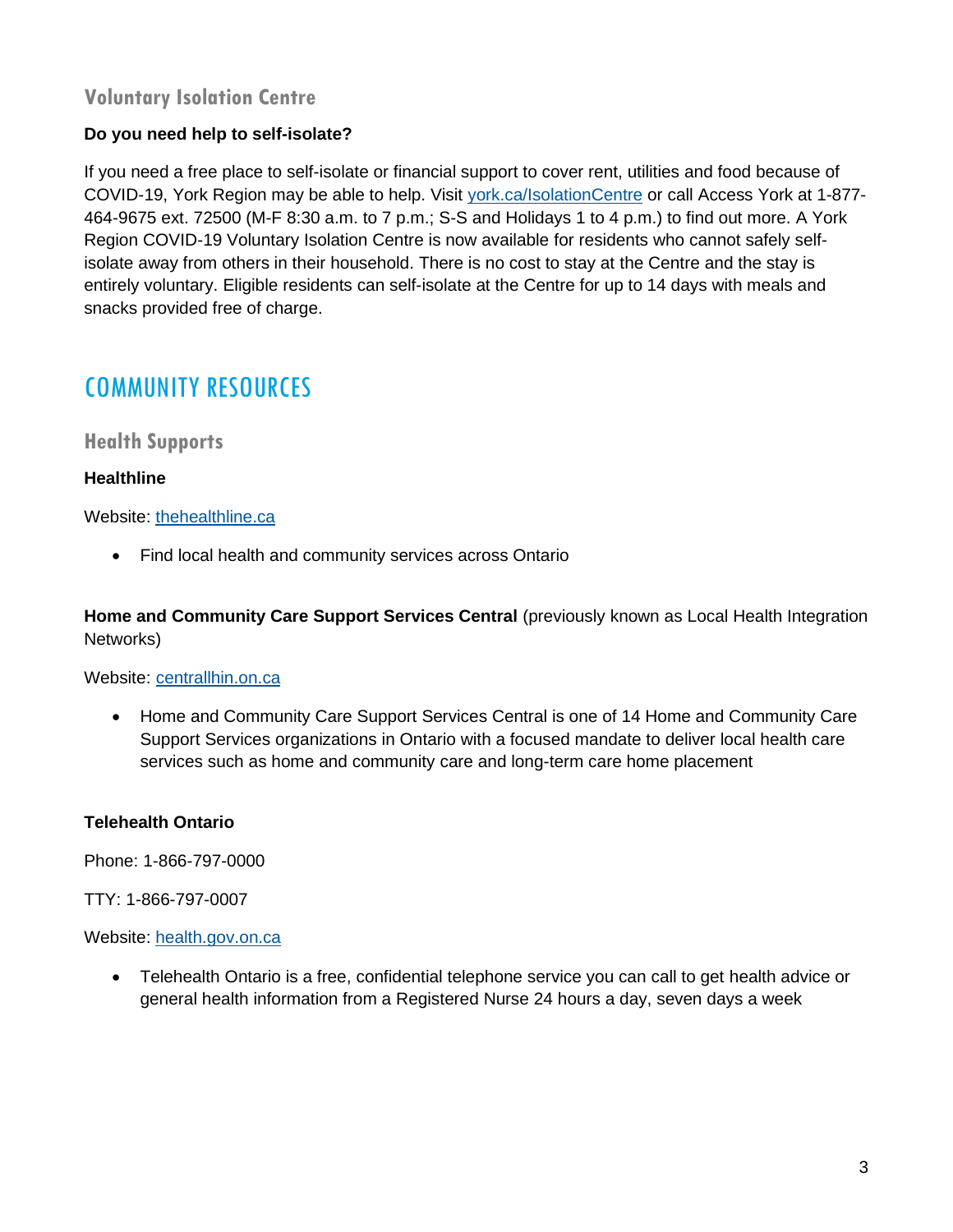## **Voluntary Isolation Centre**

## **Do you need help to self-isolate?**

If you need a free place to self-isolate or financial support to cover rent, utilities and food because of COVID-19, York Region may be able to help. Visit [york.ca/IsolationCentre](http://www.york.ca/IsolationCentre) or call Access York at 1-877- 464-9675 ext. 72500 (M-F 8:30 a.m. to 7 p.m.; S-S and Holidays 1 to 4 p.m.) to find out more. A York Region COVID-19 Voluntary Isolation Centre is now available for residents who cannot safely selfisolate away from others in their household. There is no cost to stay at the Centre and the stay is entirely voluntary. Eligible residents can self-isolate at the Centre for up to 14 days with meals and snacks provided free of charge.

## COMMUNITY RESOURCES

## **Health Supports**

#### **Healthline**

#### Website: [thehealthline.ca](https://www.thehealthline.ca/)

• Find local health and community services across Ontario

**Home and Community Care Support Services Central** (previously known as Local Health Integration Networks)

#### Website: [centrallhin.on.ca](http://www.centrallhin.on.ca/)

• Home and Community Care Support Services Central is one of 14 Home and Community Care Support Services organizations in Ontario with a focused mandate to deliver local health care services such as home and community care and long-term care home placement

## **Telehealth Ontario**

Phone: 1-866-797-0000

TTY: 1-866-797-0007

Website: [health.gov.on.ca](http://www.health.gov.on.ca/)

• Telehealth Ontario is a free, confidential telephone service you can call to get health advice or general health information from a Registered Nurse 24 hours a day, seven days a week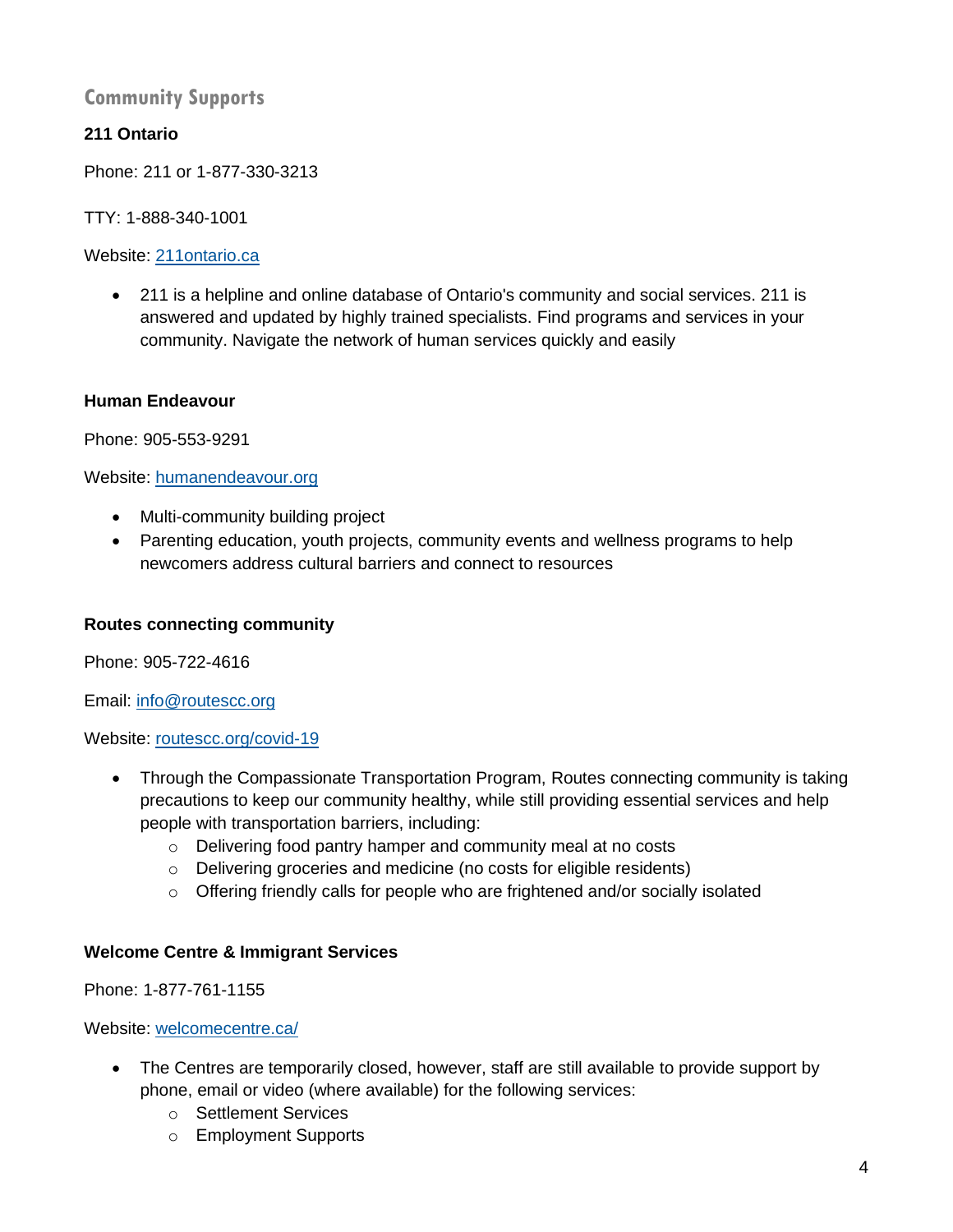## **Community Supports**

## **211 Ontario**

Phone: 211 or 1-877-330-3213

TTY: 1-888-340-1001

Website: [211ontario.ca](http://www.211ontario.ca/)

• 211 is a helpline and online database of Ontario's community and social services. 211 is answered and updated by highly trained specialists. Find programs and services in your community. Navigate the network of human services quickly and easily

#### **Human Endeavour**

Phone: 905-553-9291

Website: [humanendeavour.org](https://humanendeavour.org/)

- Multi-community building project
- Parenting education, youth projects, community events and wellness programs to help newcomers address cultural barriers and connect to resources

#### **Routes connecting community**

Phone: 905-722-4616

Email: [info@routescc.org](mailto:info@routescc.org)

Website: [routescc.org/covid-19](http://www.routescc.org/covid-19)

- Through the Compassionate Transportation Program, Routes connecting community is taking precautions to keep our community healthy, while still providing essential services and help people with transportation barriers, including:
	- o Delivering food pantry hamper and community meal at no costs
	- o Delivering groceries and medicine (no costs for eligible residents)
	- $\circ$  Offering friendly calls for people who are frightened and/or socially isolated

#### **Welcome Centre & Immigrant Services**

Phone: 1-877-761-1155

Website: [welcomecentre.ca/](http://www.welcomecentre.ca/)

- The Centres are temporarily closed, however, staff are still available to provide support by phone, email or video (where available) for the following services:
	- o Settlement Services
	- o Employment Supports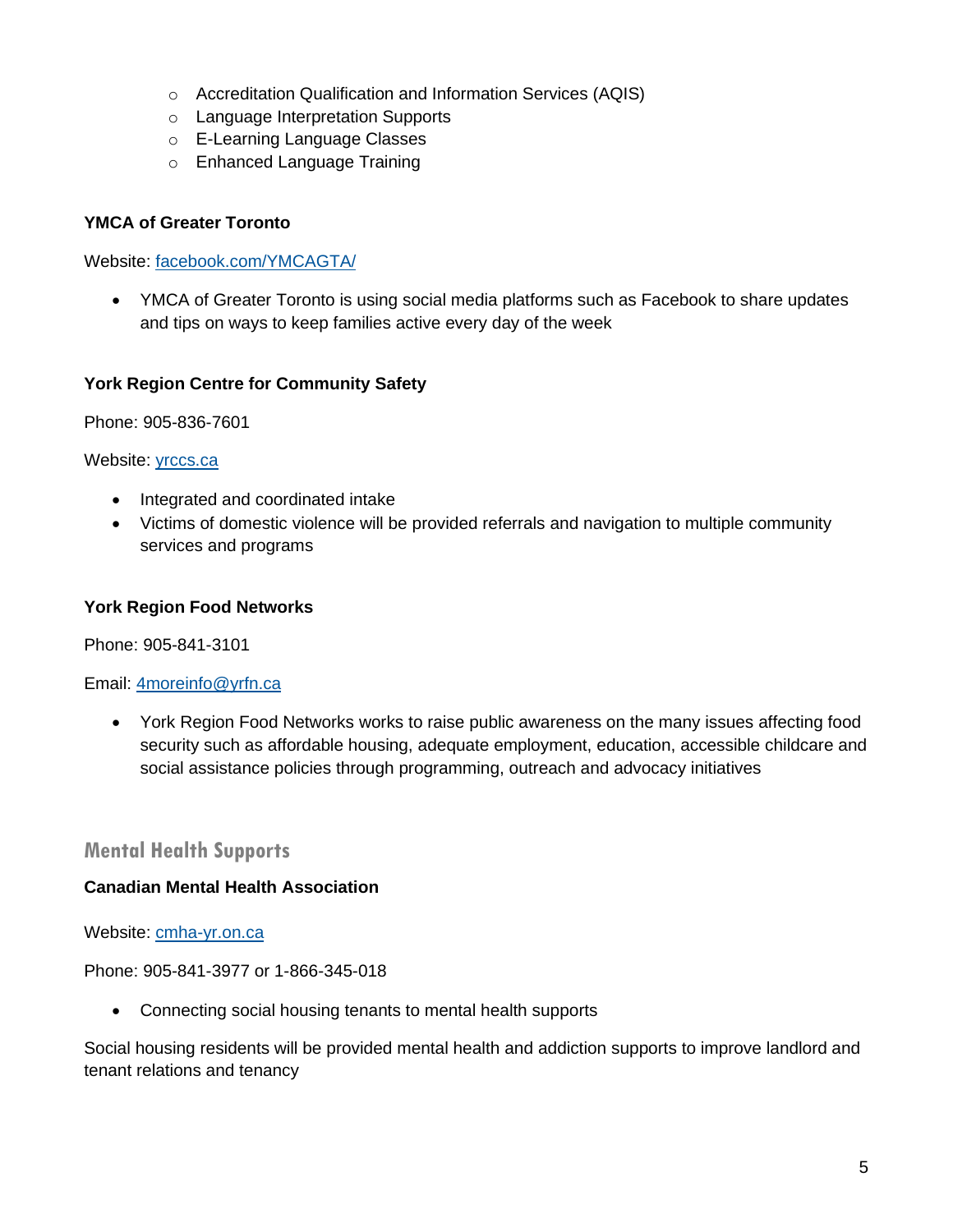- o Accreditation Qualification and Information Services (AQIS)
- o Language Interpretation Supports
- o E-Learning Language Classes
- o Enhanced Language Training

#### **YMCA of Greater Toronto**

Website: [facebook.com/YMCAGTA/](https://www.facebook.com/YMCAGTA/)

• YMCA of Greater Toronto is using social media platforms such as Facebook to share updates and tips on ways to keep families active every day of the week

#### **York Region Centre for Community Safety**

Phone: 905-836-7601

#### Website: [yrccs.ca](https://yrccs.ca/)

- Integrated and coordinated intake
- Victims of domestic violence will be provided referrals and navigation to multiple community services and programs

#### **York Region Food Networks**

Phone: 905-841-3101

#### Email: [4moreinfo@yrfn.ca](mailto:4moreinfo@yrfn.ca)

• York Region Food Networks works to raise public awareness on the many issues affecting food security such as affordable housing, adequate employment, education, accessible childcare and social assistance policies through programming, outreach and advocacy initiatives

## **Mental Health Supports**

#### **Canadian Mental Health Association**

Website: [cmha-yr.on.ca](https://cmha-yr.on.ca/)

Phone: 905-841-3977 or 1-866-345-018

• Connecting social housing tenants to mental health supports

Social housing residents will be provided mental health and addiction supports to improve landlord and tenant relations and tenancy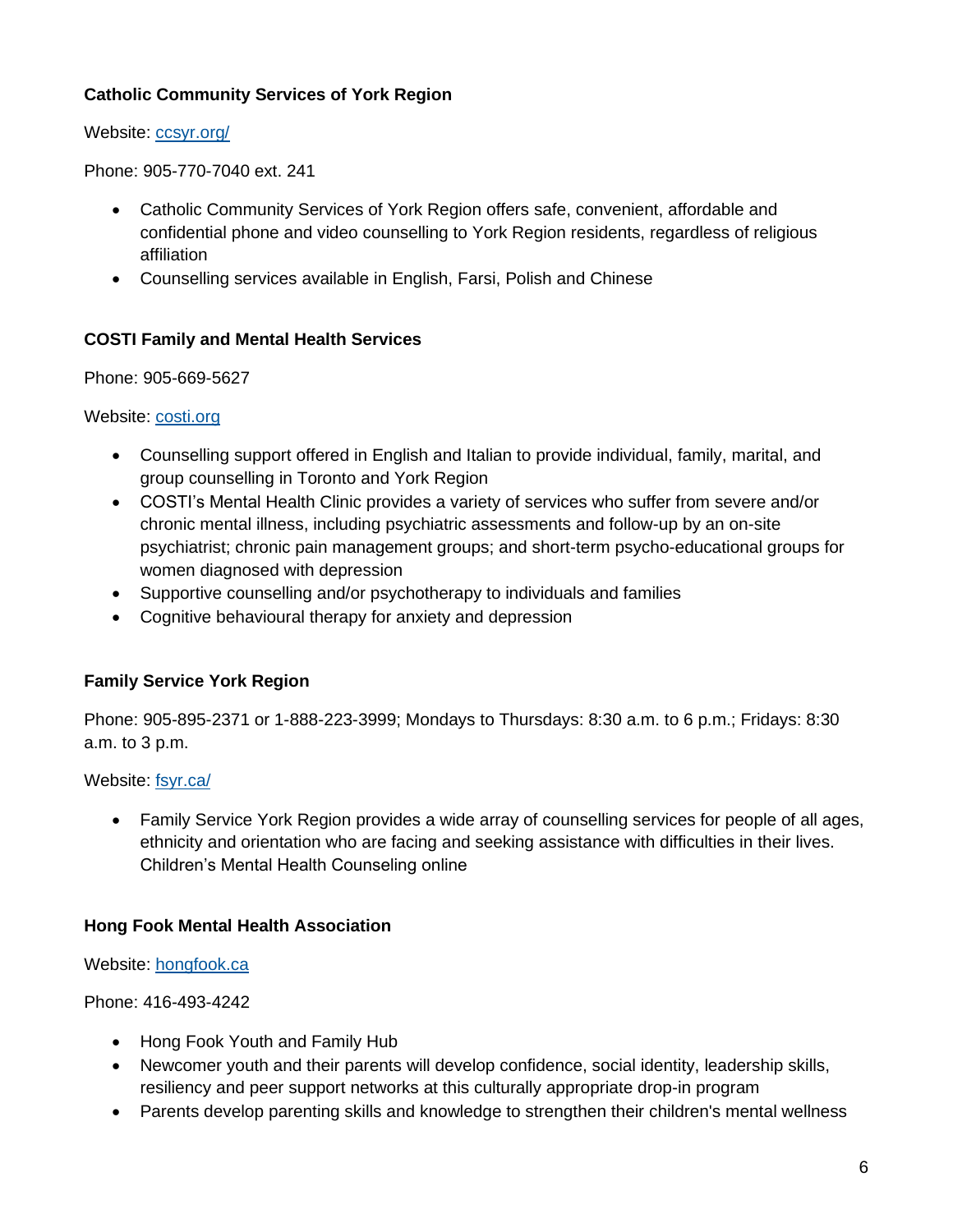## **Catholic Community Services of York Region**

Website: [ccsyr.org/](https://www.ccsyr.org/)

Phone: 905-770-7040 ext. 241

- Catholic Community Services of York Region offers safe, convenient, affordable and confidential phone and video counselling to York Region residents, regardless of religious affiliation
- Counselling services available in English, Farsi, Polish and Chinese

## **COSTI Family and Mental Health Services**

Phone: 905-669-5627

Website: [costi.org](http://www.costi.org/programs/family.php)

- Counselling support offered in English and Italian to provide individual, family, marital, and group counselling in Toronto and York Region
- COSTI's Mental Health Clinic provides a variety of services who suffer from severe and/or chronic mental illness, including psychiatric assessments and follow-up by an on-site psychiatrist; chronic pain management groups; and short-term psycho-educational groups for women diagnosed with depression
- Supportive counselling and/or psychotherapy to individuals and families
- Cognitive behavioural therapy for anxiety and depression

#### **Family Service York Region**

Phone: 905-895-2371 or 1-888-223-3999; Mondays to Thursdays: 8:30 a.m. to 6 p.m.; Fridays: 8:30 a.m. to 3 p.m.

Website: [fsyr.ca/](http://www.fsyr.ca/)

• Family Service York Region provides a wide array of counselling services for people of all ages, ethnicity and orientation who are facing and seeking assistance with difficulties in their lives. Children's Mental Health Counseling online

#### **Hong Fook Mental Health Association**

Website: [hongfook.ca](https://hongfook.ca/)

Phone: 416-493-4242

- Hong Fook Youth and Family Hub
- Newcomer youth and their parents will develop confidence, social identity, leadership skills, resiliency and peer support networks at this culturally appropriate drop-in program
- Parents develop parenting skills and knowledge to strengthen their children's mental wellness